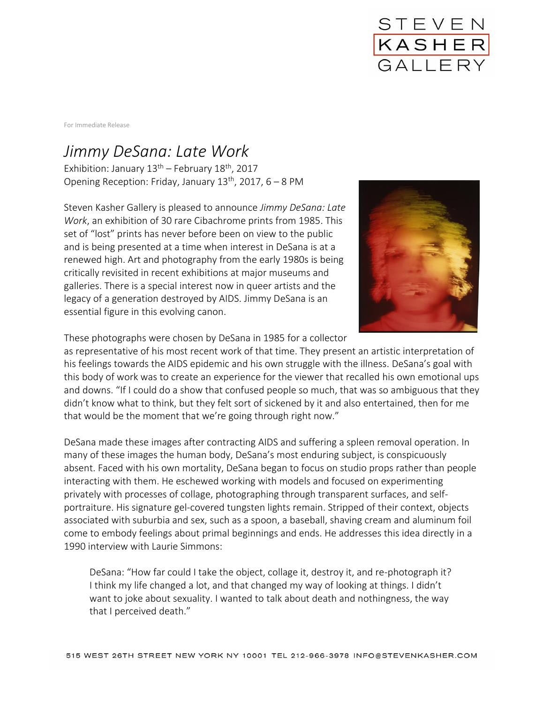

For Immediate Release

## *Jimmy DeSana: Late Work*

Exhibition: January  $13<sup>th</sup>$  – February  $18<sup>th</sup>$ , 2017 Opening Reception: Friday, January  $13<sup>th</sup>$ , 2017, 6 – 8 PM

Steven Kasher Gallery is pleased to announce *Jimmy DeSana: Late Work*, an exhibition of 30 rare Cibachrome prints from 1985. This set of "lost" prints has never before been on view to the public and is being presented at a time when interest in DeSana is at a renewed high. Art and photography from the early 1980s is being critically revisited in recent exhibitions at major museums and galleries. There is a special interest now in queer artists and the legacy of a generation destroyed by AIDS. Jimmy DeSana is an essential figure in this evolving canon.



These photographs were chosen by DeSana in 1985 for a collector

as representative of his most recent work of that time. They present an artistic interpretation of his feelings towards the AIDS epidemic and his own struggle with the illness. DeSana's goal with this body of work was to create an experience for the viewer that recalled his own emotional ups and downs. "If I could do a show that confused people so much, that was so ambiguous that they didn't know what to think, but they felt sort of sickened by it and also entertained, then for me that would be the moment that we're going through right now."

DeSana made these images after contracting AIDS and suffering a spleen removal operation. In many of these images the human body, DeSana's most enduring subject, is conspicuously absent. Faced with his own mortality, DeSana began to focus on studio props rather than people interacting with them. He eschewed working with models and focused on experimenting privately with processes of collage, photographing through transparent surfaces, and selfportraiture. His signature gel-covered tungsten lights remain. Stripped of their context, objects associated with suburbia and sex, such as a spoon, a baseball, shaving cream and aluminum foil come to embody feelings about primal beginnings and ends. He addresses this idea directly in a 1990 interview with Laurie Simmons:

DeSana: "How far could I take the object, collage it, destroy it, and re-photograph it? I think my life changed a lot, and that changed my way of looking at things. I didn't want to joke about sexuality. I wanted to talk about death and nothingness, the way that I perceived death."